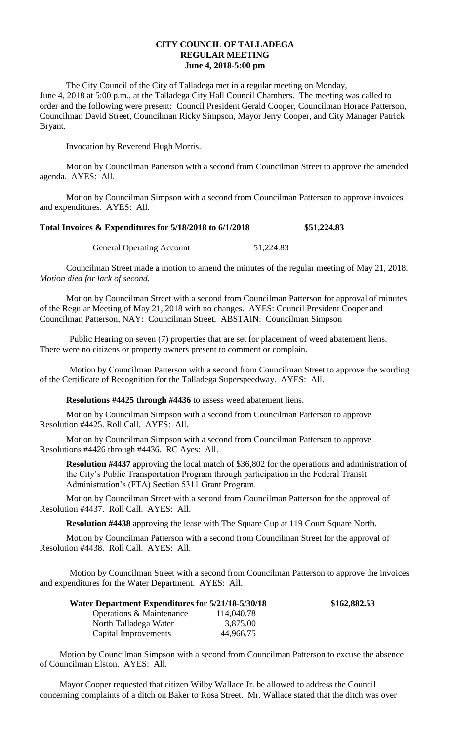## **CITY COUNCIL OF TALLADEGA REGULAR MEETING June 4, 2018-5:00 pm**

The City Council of the City of Talladega met in a regular meeting on Monday, June 4, 2018 at 5:00 p.m., at the Talladega City Hall Council Chambers. The meeting was called to order and the following were present: Council President Gerald Cooper, Councilman Horace Patterson, Councilman David Street, Councilman Ricky Simpson, Mayor Jerry Cooper, and City Manager Patrick Bryant.

Invocation by Reverend Hugh Morris.

Motion by Councilman Patterson with a second from Councilman Street to approve the amended agenda. AYES: All.

Motion by Councilman Simpson with a second from Councilman Patterson to approve invoices and expenditures. AYES: All.

## **Total Invoices & Expenditures for 5/18/2018 to 6/1/2018 \$51,224.83**

General Operating Account 51,224.83

Councilman Street made a motion to amend the minutes of the regular meeting of May 21, 2018. *Motion died for lack of second.*

Motion by Councilman Street with a second from Councilman Patterson for approval of minutes of the Regular Meeting of May 21, 2018 with no changes. AYES: Council President Cooper and Councilman Patterson, NAY: Councilman Street, ABSTAIN: Councilman Simpson

Public Hearing on seven (7) properties that are set for placement of weed abatement liens. There were no citizens or property owners present to comment or complain.

Motion by Councilman Patterson with a second from Councilman Street to approve the wording of the Certificate of Recognition for the Talladega Superspeedway. AYES: All.

**Resolutions #4425 through #4436** to assess weed abatement liens.

Motion by Councilman Simpson with a second from Councilman Patterson to approve Resolution #4425. Roll Call. AYES: All.

Motion by Councilman Simpson with a second from Councilman Patterson to approve Resolutions #4426 through #4436. RC Ayes: All.

**Resolution #4437** approving the local match of \$36,802 for the operations and administration of the City's Public Transportation Program through participation in the Federal Transit Administration's (FTA) Section 5311 Grant Program.

Motion by Councilman Street with a second from Councilman Patterson for the approval of Resolution #4437. Roll Call. AYES: All.

**Resolution #4438** approving the lease with The Square Cup at 119 Court Square North.

Motion by Councilman Patterson with a second from Councilman Street for the approval of Resolution #4438. Roll Call. AYES: All.

Motion by Councilman Street with a second from Councilman Patterson to approve the invoices and expenditures for the Water Department. AYES: All.

| Water Department Expenditures for 5/21/18-5/30/18 |            | \$162,882.53 |
|---------------------------------------------------|------------|--------------|
| Operations & Maintenance                          | 114,040.78 |              |
| North Talladega Water                             | 3,875.00   |              |
| Capital Improvements                              | 44,966.75  |              |

Motion by Councilman Simpson with a second from Councilman Patterson to excuse the absence of Councilman Elston. AYES: All.

Mayor Cooper requested that citizen Wilby Wallace Jr. be allowed to address the Council concerning complaints of a ditch on Baker to Rosa Street. Mr. Wallace stated that the ditch was over